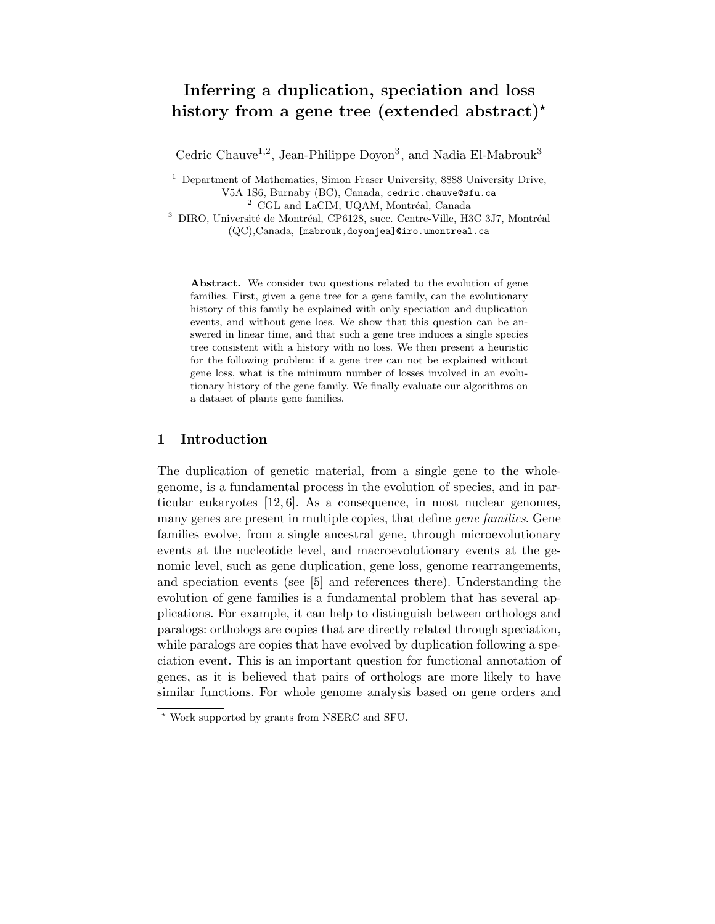# Inferring a duplication, speciation and loss history from a gene tree (extended abstract)<sup>\*</sup>

Cedric Chauve<sup>1,2</sup>, Jean-Philippe Doyon<sup>3</sup>, and Nadia El-Mabrouk<sup>3</sup>

<sup>1</sup> Department of Mathematics, Simon Fraser University, 8888 University Drive, V5A 1S6, Burnaby (BC), Canada, cedric.chauve@sfu.ca

<sup>2</sup> CGL and LaCIM, UQAM, Montréal, Canada

<sup>3</sup> DIRO, Université de Montréal, CP6128, succ. Centre-Ville, H3C 3J7, Montréal (QC),Canada, [mabrouk,doyonjea]@iro.umontreal.ca

Abstract. We consider two questions related to the evolution of gene families. First, given a gene tree for a gene family, can the evolutionary history of this family be explained with only speciation and duplication events, and without gene loss. We show that this question can be answered in linear time, and that such a gene tree induces a single species tree consistent with a history with no loss. We then present a heuristic for the following problem: if a gene tree can not be explained without gene loss, what is the minimum number of losses involved in an evolutionary history of the gene family. We finally evaluate our algorithms on a dataset of plants gene families.

## 1 Introduction

The duplication of genetic material, from a single gene to the wholegenome, is a fundamental process in the evolution of species, and in particular eukaryotes [12, 6]. As a consequence, in most nuclear genomes, many genes are present in multiple copies, that define *gene families*. Gene families evolve, from a single ancestral gene, through microevolutionary events at the nucleotide level, and macroevolutionary events at the genomic level, such as gene duplication, gene loss, genome rearrangements, and speciation events (see [5] and references there). Understanding the evolution of gene families is a fundamental problem that has several applications. For example, it can help to distinguish between orthologs and paralogs: orthologs are copies that are directly related through speciation, while paralogs are copies that have evolved by duplication following a speciation event. This is an important question for functional annotation of genes, as it is believed that pairs of orthologs are more likely to have similar functions. For whole genome analysis based on gene orders and

<sup>?</sup> Work supported by grants from NSERC and SFU.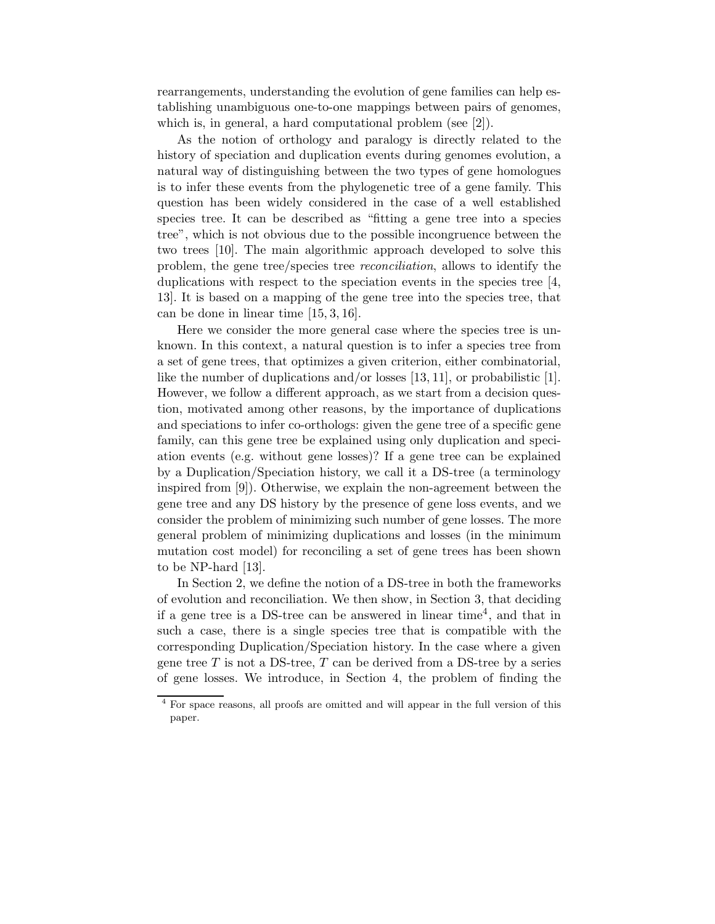rearrangements, understanding the evolution of gene families can help establishing unambiguous one-to-one mappings between pairs of genomes, which is, in general, a hard computational problem (see [2]).

As the notion of orthology and paralogy is directly related to the history of speciation and duplication events during genomes evolution, a natural way of distinguishing between the two types of gene homologues is to infer these events from the phylogenetic tree of a gene family. This question has been widely considered in the case of a well established species tree. It can be described as "fitting a gene tree into a species tree", which is not obvious due to the possible incongruence between the two trees [10]. The main algorithmic approach developed to solve this problem, the gene tree/species tree reconciliation, allows to identify the duplications with respect to the speciation events in the species tree [4, 13]. It is based on a mapping of the gene tree into the species tree, that can be done in linear time [15, 3, 16].

Here we consider the more general case where the species tree is unknown. In this context, a natural question is to infer a species tree from a set of gene trees, that optimizes a given criterion, either combinatorial, like the number of duplications and/or losses [13, 11], or probabilistic [1]. However, we follow a different approach, as we start from a decision question, motivated among other reasons, by the importance of duplications and speciations to infer co-orthologs: given the gene tree of a specific gene family, can this gene tree be explained using only duplication and speciation events (e.g. without gene losses)? If a gene tree can be explained by a Duplication/Speciation history, we call it a DS-tree (a terminology inspired from [9]). Otherwise, we explain the non-agreement between the gene tree and any DS history by the presence of gene loss events, and we consider the problem of minimizing such number of gene losses. The more general problem of minimizing duplications and losses (in the minimum mutation cost model) for reconciling a set of gene trees has been shown to be NP-hard [13].

In Section 2, we define the notion of a DS-tree in both the frameworks of evolution and reconciliation. We then show, in Section 3, that deciding if a gene tree is a DS-tree can be answered in linear time<sup>4</sup> , and that in such a case, there is a single species tree that is compatible with the corresponding Duplication/Speciation history. In the case where a given gene tree  $T$  is not a DS-tree,  $T$  can be derived from a DS-tree by a series of gene losses. We introduce, in Section 4, the problem of finding the

<sup>4</sup> For space reasons, all proofs are omitted and will appear in the full version of this paper.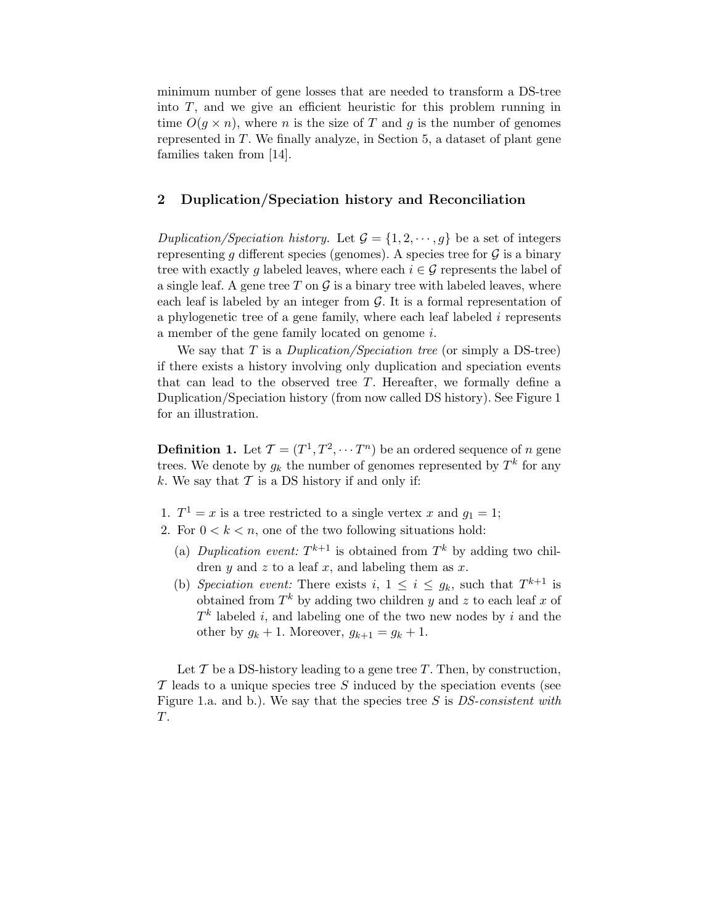minimum number of gene losses that are needed to transform a DS-tree into  $T$ , and we give an efficient heuristic for this problem running in time  $O(q \times n)$ , where *n* is the size of *T* and *g* is the number of genomes represented in  $T$ . We finally analyze, in Section 5, a dataset of plant gene families taken from [14].

## 2 Duplication/Speciation history and Reconciliation

Duplication/Speciation history. Let  $\mathcal{G} = \{1, 2, \dots, g\}$  be a set of integers representing g different species (genomes). A species tree for  $\mathcal G$  is a binary tree with exactly g labeled leaves, where each  $i \in \mathcal{G}$  represents the label of a single leaf. A gene tree T on  $\mathcal G$  is a binary tree with labeled leaves, where each leaf is labeled by an integer from  $\mathcal G$ . It is a formal representation of a phylogenetic tree of a gene family, where each leaf labeled i represents a member of the gene family located on genome i.

We say that T is a *Duplication/Speciation tree* (or simply a DS-tree) if there exists a history involving only duplication and speciation events that can lead to the observed tree  $T$ . Hereafter, we formally define a Duplication/Speciation history (from now called DS history). See Figure 1 for an illustration.

**Definition 1.** Let  $\mathcal{T} = (T^1, T^2, \cdots T^n)$  be an ordered sequence of n gene trees. We denote by  $g_k$  the number of genomes represented by  $T^k$  for any k. We say that  $\mathcal T$  is a DS history if and only if:

- 1.  $T^1 = x$  is a tree restricted to a single vertex x and  $g_1 = 1$ ;
- 2. For  $0 < k < n$ , one of the two following situations hold:
	- (a) Duplication event:  $T^{k+1}$  is obtained from  $T^k$  by adding two children  $y$  and  $z$  to a leaf  $x$ , and labeling them as  $x$ .
	- (b) Speciation event: There exists  $i, 1 \leq i \leq g_k$ , such that  $T^{k+1}$  is obtained from  $T^k$  by adding two children y and z to each leaf x of  $T<sup>k</sup>$  labeled *i*, and labeling one of the two new nodes by *i* and the other by  $g_k + 1$ . Moreover,  $g_{k+1} = g_k + 1$ .

Let  $\mathcal T$  be a DS-history leading to a gene tree  $T$ . Then, by construction,  $\mathcal T$  leads to a unique species tree S induced by the speciation events (see Figure 1.a. and b.). We say that the species tree S is DS-consistent with T.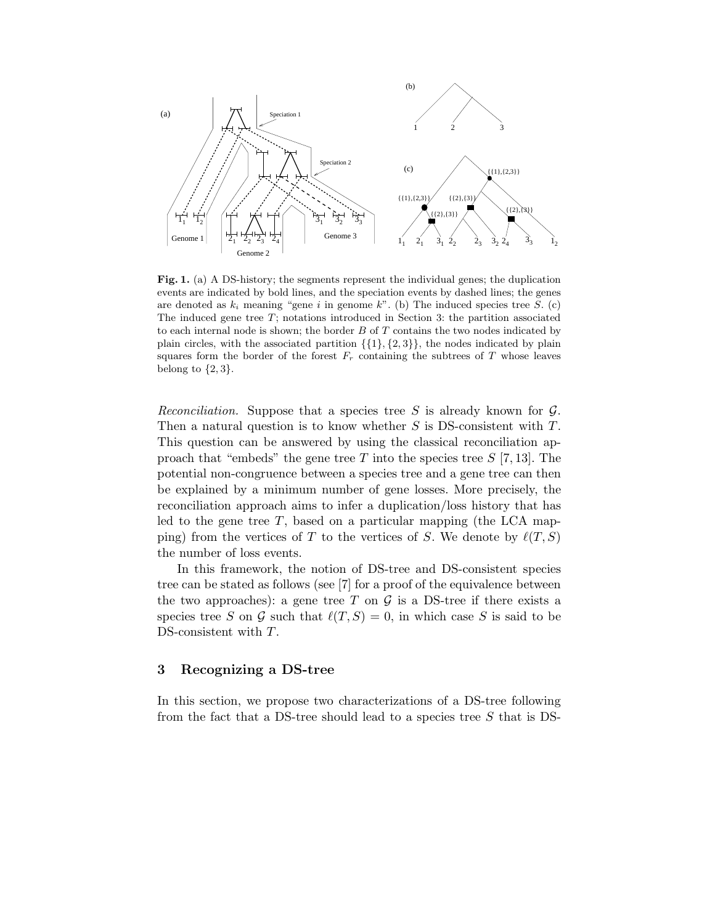

Fig. 1. (a) A DS-history; the segments represent the individual genes; the duplication events are indicated by bold lines, and the speciation events by dashed lines; the genes are denoted as  $k_i$  meaning "gene i in genome k". (b) The induced species tree S. (c) The induced gene tree  $T$ ; notations introduced in Section 3: the partition associated to each internal node is shown; the border  $B$  of  $T$  contains the two nodes indicated by plain circles, with the associated partition  $\{\{1\}, \{2, 3\}\}\,$ , the nodes indicated by plain squares form the border of the forest  $F_r$  containing the subtrees of T whose leaves belong to  $\{2,3\}.$ 

Reconciliation. Suppose that a species tree S is already known for  $\mathcal{G}$ . Then a natural question is to know whether S is DS-consistent with T. This question can be answered by using the classical reconciliation approach that "embeds" the gene tree T into the species tree  $S$  [7, 13]. The potential non-congruence between a species tree and a gene tree can then be explained by a minimum number of gene losses. More precisely, the reconciliation approach aims to infer a duplication/loss history that has led to the gene tree  $T$ , based on a particular mapping (the LCA mapping) from the vertices of T to the vertices of S. We denote by  $\ell(T, S)$ the number of loss events.

In this framework, the notion of DS-tree and DS-consistent species tree can be stated as follows (see [7] for a proof of the equivalence between the two approaches): a gene tree T on  $\mathcal G$  is a DS-tree if there exists a species tree S on G such that  $\ell(T, S) = 0$ , in which case S is said to be DS-consistent with T.

## 3 Recognizing a DS-tree

In this section, we propose two characterizations of a DS-tree following from the fact that a DS-tree should lead to a species tree  $S$  that is DS-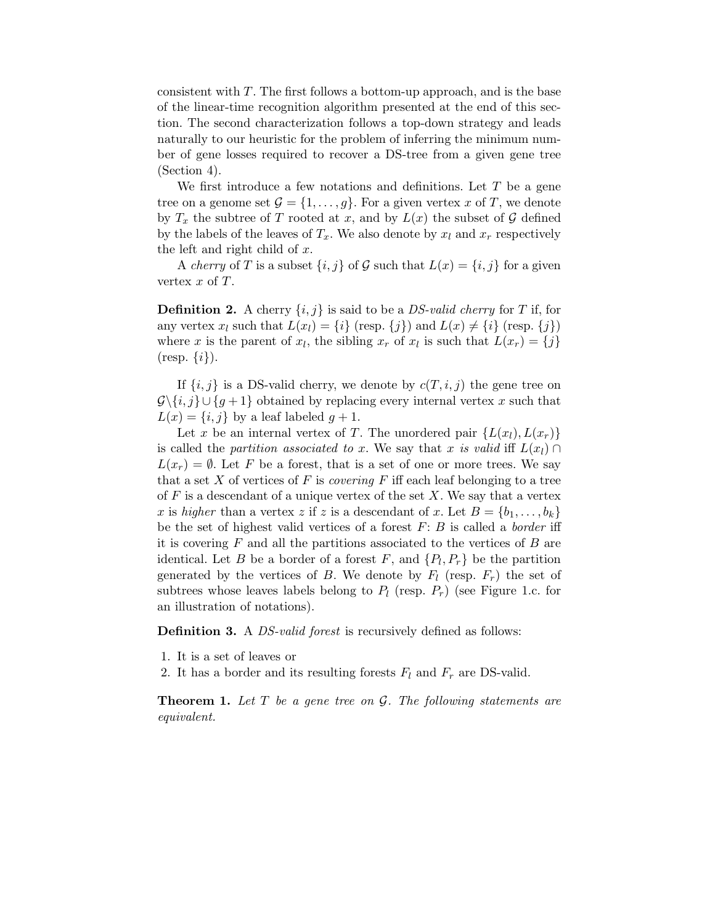consistent with  $T$ . The first follows a bottom-up approach, and is the base of the linear-time recognition algorithm presented at the end of this section. The second characterization follows a top-down strategy and leads naturally to our heuristic for the problem of inferring the minimum number of gene losses required to recover a DS-tree from a given gene tree (Section 4).

We first introduce a few notations and definitions. Let  $T$  be a gene tree on a genome set  $\mathcal{G} = \{1, \ldots, g\}$ . For a given vertex x of T, we denote by  $T_x$  the subtree of T rooted at x, and by  $L(x)$  the subset of G defined by the labels of the leaves of  $T_x$ . We also denote by  $x_l$  and  $x_r$  respectively the left and right child of  $x$ .

A *cherry* of T is a subset  $\{i, j\}$  of G such that  $L(x) = \{i, j\}$  for a given vertex  $x$  of  $T$ .

**Definition 2.** A cherry  $\{i, j\}$  is said to be a *DS-valid cherry* for T if, for any vertex  $x_l$  such that  $L(x_l) = \{i\}$  (resp.  $\{j\}$ ) and  $L(x) \neq \{i\}$  (resp.  $\{j\}$ ) where x is the parent of  $x_l$ , the sibling  $x_r$  of  $x_l$  is such that  $L(x_r) = \{j\}$  $(\text{resp. } \{i\}).$ 

If  $\{i, j\}$  is a DS-valid cherry, we denote by  $c(T, i, j)$  the gene tree on  $\mathcal{G}\backslash\{i,j\}\cup\{g+1\}$  obtained by replacing every internal vertex x such that  $L(x) = \{i, j\}$  by a leaf labeled  $g + 1$ .

Let x be an internal vertex of T. The unordered pair  $\{L(x_l), L(x_r)\}$ is called the partition associated to x. We say that x is valid iff  $L(x_l) \cap$  $L(x_r) = \emptyset$ . Let F be a forest, that is a set of one or more trees. We say that a set X of vertices of F is *covering* F iff each leaf belonging to a tree of  $F$  is a descendant of a unique vertex of the set  $X$ . We say that a vertex x is higher than a vertex z if z is a descendant of x. Let  $B = \{b_1, \ldots, b_k\}$ be the set of highest valid vertices of a forest  $F: B$  is called a *border* iff it is covering  $F$  and all the partitions associated to the vertices of  $B$  are identical. Let B be a border of a forest F, and  $\{P_l, P_r\}$  be the partition generated by the vertices of B. We denote by  $F_l$  (resp.  $F_r$ ) the set of subtrees whose leaves labels belong to  $P_l$  (resp.  $P_r$ ) (see Figure 1.c. for an illustration of notations).

**Definition 3.** A *DS-valid forest* is recursively defined as follows:

- 1. It is a set of leaves or
- 2. It has a border and its resulting forests  $F_l$  and  $F_r$  are DS-valid.

**Theorem 1.** Let  $T$  be a gene tree on  $\mathcal{G}$ . The following statements are equivalent.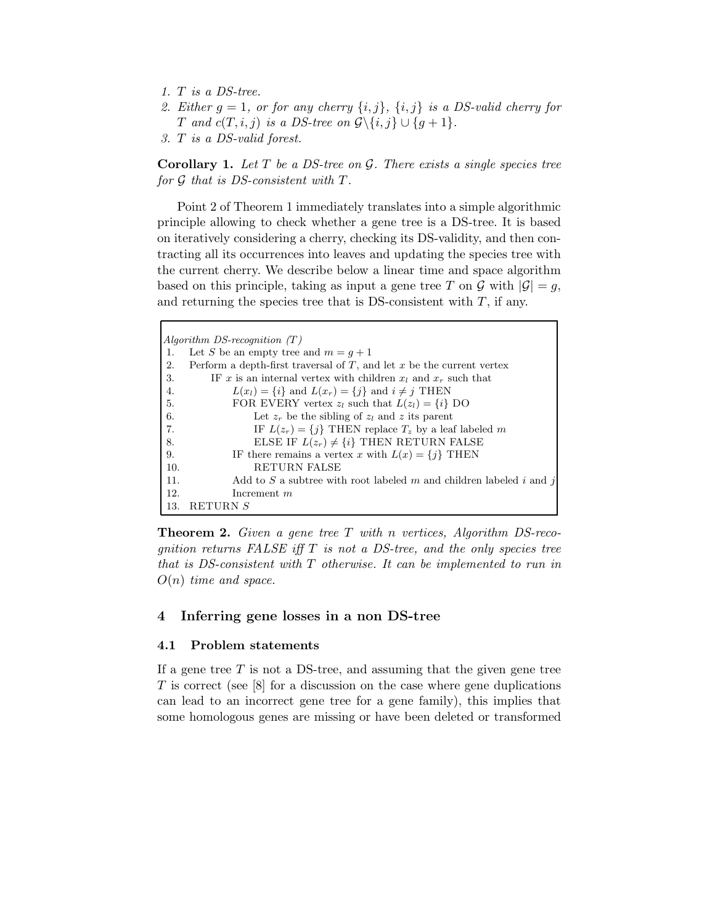- 1. T is a DS-tree.
- 2. Either  $g = 1$ , or for any cherry  $\{i, j\}$ ,  $\{i, j\}$  is a DS-valid cherry for T and  $c(T, i, j)$  is a DS-tree on  $\mathcal{G}\backslash\{i, j\} \cup \{g+1\}.$
- 3. T is a DS-valid forest.

**Corollary 1.** Let  $T$  be a DS-tree on  $G$ . There exists a single species tree for G that is DS-consistent with T.

Point 2 of Theorem 1 immediately translates into a simple algorithmic principle allowing to check whether a gene tree is a DS-tree. It is based on iteratively considering a cherry, checking its DS-validity, and then contracting all its occurrences into leaves and updating the species tree with the current cherry. We describe below a linear time and space algorithm based on this principle, taking as input a gene tree T on G with  $|G| = q$ , and returning the species tree that is DS-consistent with  $T$ , if any.

|     | Algorithm DS-recognition $(T)$                                             |
|-----|----------------------------------------------------------------------------|
| 1.  | Let S be an empty tree and $m = q + 1$                                     |
| 2.  | Perform a depth-first traversal of $T$ , and let $x$ be the current vertex |
| 3.  | IF x is an internal vertex with children $x_l$ and $x_r$ such that         |
| 4.  | $L(x_i) = \{i\}$ and $L(x_i) = \{j\}$ and $i \neq j$ THEN                  |
| -5. | FOR EVERY vertex $z_l$ such that $L(z_l) = \{i\}$ DO                       |
| 6.  | Let $z_r$ be the sibling of $z_l$ and z its parent                         |
| 7.  | IF $L(z_r) = \{j\}$ THEN replace $T_z$ by a leaf labeled m                 |
| 8.  | ELSE IF $L(z_r) \neq \{i\}$ THEN RETURN FALSE                              |
| 9.  | IF there remains a vertex x with $L(x) = \{j\}$ THEN                       |
| 10. | <b>RETURN FALSE</b>                                                        |
| 11. | Add to S a subtree with root labeled m and children labeled i and j        |
| 12. | Increment $m$                                                              |
| 13. | RETURN S                                                                   |

**Theorem 2.** Given a gene tree  $T$  with n vertices, Algorithm DS-recognition returns FALSE iff  $T$  is not a DS-tree, and the only species tree that is DS-consistent with T otherwise. It can be implemented to run in  $O(n)$  time and space.

## 4 Inferring gene losses in a non DS-tree

#### 4.1 Problem statements

If a gene tree  $T$  is not a DS-tree, and assuming that the given gene tree T is correct (see [8] for a discussion on the case where gene duplications can lead to an incorrect gene tree for a gene family), this implies that some homologous genes are missing or have been deleted or transformed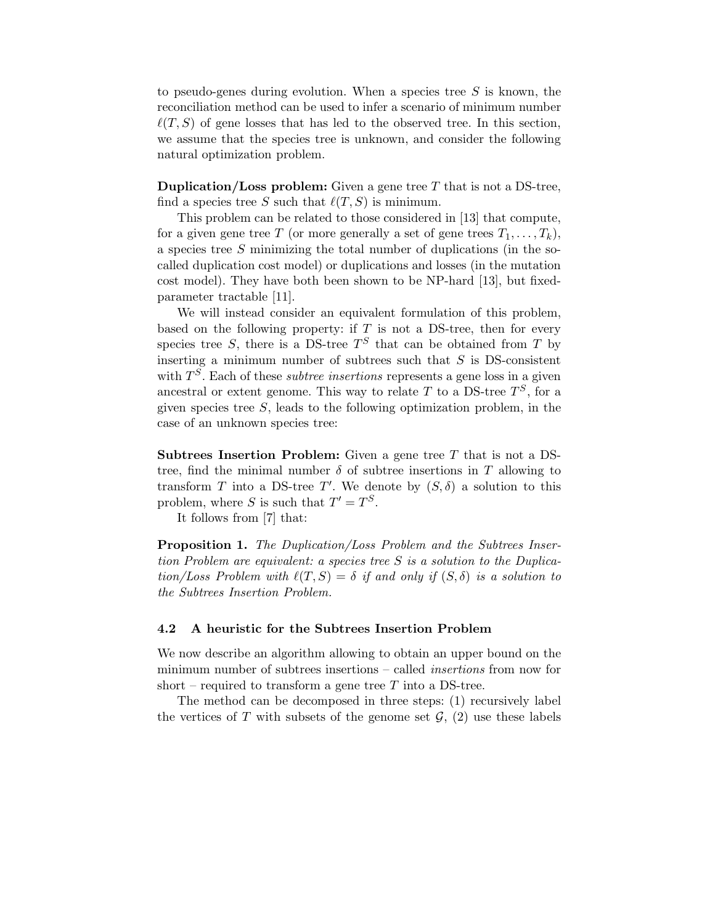to pseudo-genes during evolution. When a species tree  $S$  is known, the reconciliation method can be used to infer a scenario of minimum number  $\ell(T, S)$  of gene losses that has led to the observed tree. In this section, we assume that the species tree is unknown, and consider the following natural optimization problem.

**Duplication/Loss problem:** Given a gene tree  $T$  that is not a DS-tree, find a species tree S such that  $\ell(T, S)$  is minimum.

This problem can be related to those considered in [13] that compute, for a given gene tree T (or more generally a set of gene trees  $T_1, \ldots, T_k$ ), a species tree S minimizing the total number of duplications (in the socalled duplication cost model) or duplications and losses (in the mutation cost model). They have both been shown to be NP-hard [13], but fixedparameter tractable [11].

We will instead consider an equivalent formulation of this problem, based on the following property: if  $T$  is not a DS-tree, then for every species tree S, there is a DS-tree  $T<sup>S</sup>$  that can be obtained from T by inserting a minimum number of subtrees such that  $S$  is DS-consistent with  $T<sup>S</sup>$ . Each of these *subtree insertions* represents a gene loss in a given ancestral or extent genome. This way to relate T to a DS-tree  $T^S$ , for a given species tree  $S$ , leads to the following optimization problem, in the case of an unknown species tree:

Subtrees Insertion Problem: Given a gene tree T that is not a DStree, find the minimal number  $\delta$  of subtree insertions in T allowing to transform T into a DS-tree T'. We denote by  $(S, \delta)$  a solution to this problem, where S is such that  $T' = T^S$ .

It follows from [7] that:

**Proposition 1.** The Duplication/Loss Problem and the Subtrees Insertion Problem are equivalent: a species tree S is a solution to the Duplication/Loss Problem with  $\ell(T, S) = \delta$  if and only if  $(S, \delta)$  is a solution to the Subtrees Insertion Problem.

#### 4.2 A heuristic for the Subtrees Insertion Problem

We now describe an algorithm allowing to obtain an upper bound on the minimum number of subtrees insertions – called insertions from now for short – required to transform a gene tree  $T$  into a DS-tree.

The method can be decomposed in three steps: (1) recursively label the vertices of T with subsets of the genome set  $\mathcal{G}$ , (2) use these labels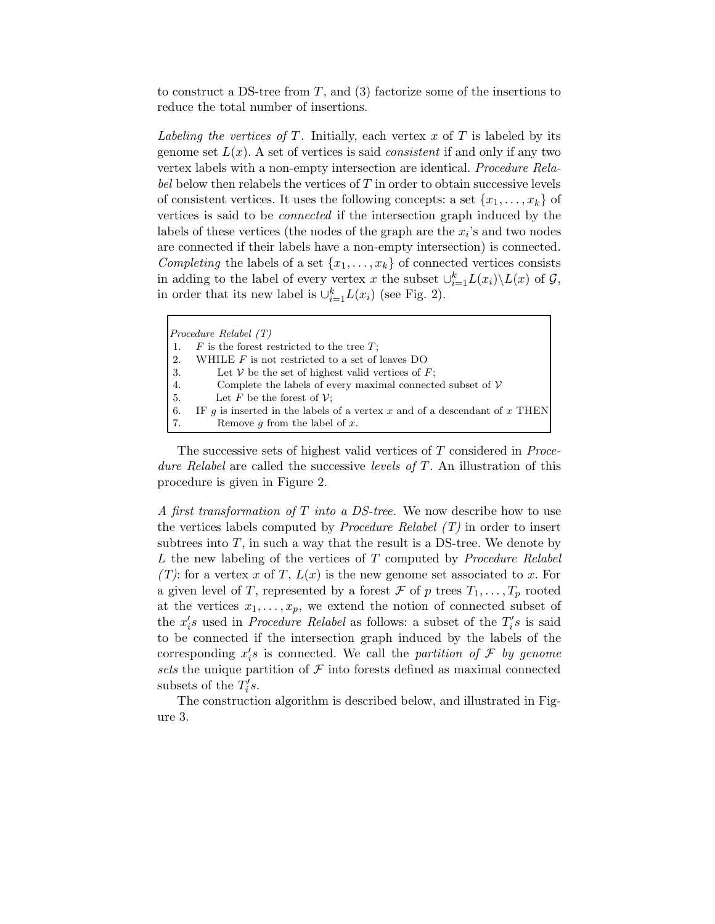to construct a DS-tree from T, and  $(3)$  factorize some of the insertions to reduce the total number of insertions.

Labeling the vertices of T. Initially, each vertex x of T is labeled by its genome set  $L(x)$ . A set of vertices is said *consistent* if and only if any two vertex labels with a non-empty intersection are identical. Procedure Relabel below then relabels the vertices of  $T$  in order to obtain successive levels of consistent vertices. It uses the following concepts: a set  $\{x_1, \ldots, x_k\}$  of vertices is said to be connected if the intersection graph induced by the labels of these vertices (the nodes of the graph are the  $x_i$ 's and two nodes are connected if their labels have a non-empty intersection) is connected. Completing the labels of a set  $\{x_1, \ldots, x_k\}$  of connected vertices consists in adding to the label of every vertex x the subset  $\cup_{i=1}^k L(x_i) \backslash L(x)$  of  $\mathcal{G}$ , in order that its new label is  $\cup_{i=1}^k L(x_i)$  (see Fig. 2).

|                   | $Procedure$ Relabel $(T)$                                                  |
|-------------------|----------------------------------------------------------------------------|
|                   | $F$ is the forest restricted to the tree $T$ ;                             |
| $\cdot$ 2.        | WHILE $F$ is not restricted to a set of leaves DO                          |
| $\blacksquare$ 3. | Let V be the set of highest valid vertices of $F$ ;                        |
| 4.                | Complete the labels of every maximal connected subset of $\mathcal V$      |
| -5.               | Let F be the forest of $\mathcal{V}$ :                                     |
| -6.               | IF q is inserted in the labels of a vertex x and of a descendant of x THEN |
|                   | Remove $g$ from the label of $x$ .                                         |

The successive sets of highest valid vertices of T considered in Procedure Relabel are called the successive levels of T. An illustration of this procedure is given in Figure 2.

A first transformation of T into a DS-tree. We now describe how to use the vertices labels computed by *Procedure Relabel*  $(T)$  in order to insert subtrees into  $T$ , in such a way that the result is a DS-tree. We denote by  $L$  the new labeling of the vertices of  $T$  computed by *Procedure Relabel*  $(T)$ : for a vertex x of T,  $L(x)$  is the new genome set associated to x. For a given level of T, represented by a forest  $\mathcal F$  of p trees  $T_1, \ldots, T_p$  rooted at the vertices  $x_1, \ldots, x_p$ , we extend the notion of connected subset of the  $x_i'$  $S_i$ s used in *Procedure Relabel* as follows: a subset of the  $T_i'$  $i's$  is said to be connected if the intersection graph induced by the labels of the corresponding  $x_i'$  $s_i$ 's is connected. We call the partition of  $\mathcal F$  by genome sets the unique partition of  $\mathcal F$  into forests defined as maximal connected subsets of the  $T_i'$  $i's.$ 

The construction algorithm is described below, and illustrated in Figure 3.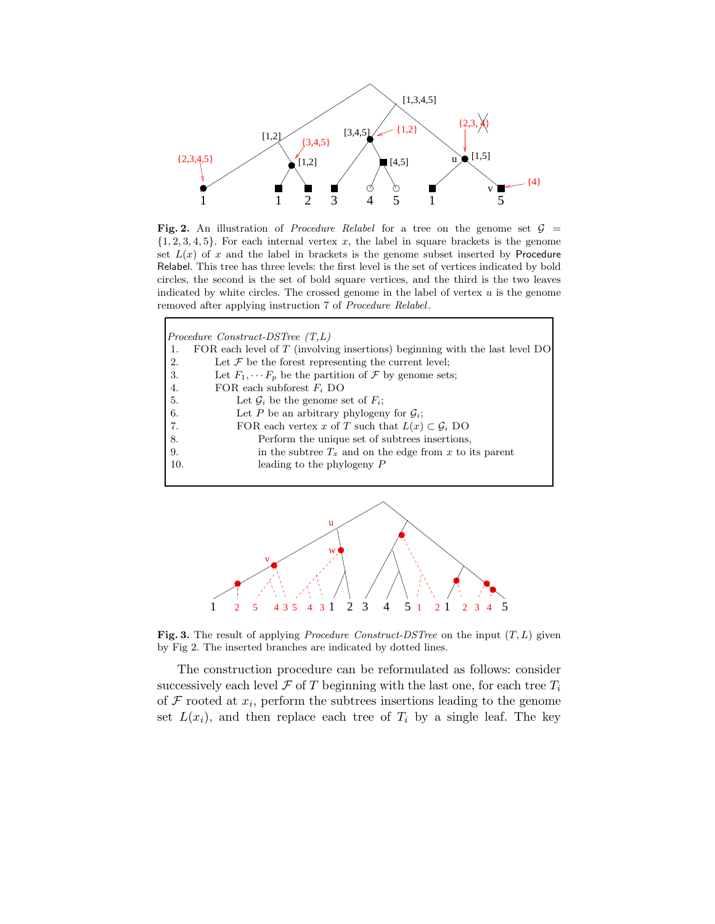

Fig. 2. An illustration of *Procedure Relabel* for a tree on the genome set  $G =$  $\{1, 2, 3, 4, 5\}$ . For each internal vertex x, the label in square brackets is the genome set  $L(x)$  of x and the label in brackets is the genome subset inserted by Procedure Relabel. This tree has three levels: the first level is the set of vertices indicated by bold circles, the second is the set of bold square vertices, and the third is the two leaves indicated by white circles. The crossed genome in the label of vertex  $u$  is the genome removed after applying instruction 7 of Procedure Relabel.

|     | Procedure Construct-DSTree $(T,L)$                                            |
|-----|-------------------------------------------------------------------------------|
| 1.  | FOR each level of $T$ (involving insertions) beginning with the last level DO |
| 2.  | Let $\mathcal F$ be the forest representing the current level;                |
| 3.  | Let $F_1, \cdots F_n$ be the partition of $\mathcal F$ by genome sets;        |
| 4.  | FOR each subforest $F_i$ DO                                                   |
| 5.  | Let $\mathcal{G}_i$ be the genome set of $F_i$ ;                              |
| 6.  | Let P be an arbitrary phylogeny for $\mathcal{G}_i$ ;                         |
| 7.  | FOR each vertex x of T such that $L(x) \subset \mathcal{G}_i$ DO              |
| 8.  | Perform the unique set of subtrees insertions,                                |
| 9.  | in the subtree $T_x$ and on the edge from x to its parent                     |
| 10. | leading to the phylogeny $P$                                                  |
|     |                                                                               |



Fig. 3. The result of applying *Procedure Construct-DSTree* on the input  $(T, L)$  given by Fig 2. The inserted branches are indicated by dotted lines.

The construction procedure can be reformulated as follows: consider successively each level  $\mathcal F$  of T beginning with the last one, for each tree  $T_i$ of  $\mathcal F$  rooted at  $x_i$ , perform the subtrees insertions leading to the genome set  $L(x_i)$ , and then replace each tree of  $T_i$  by a single leaf. The key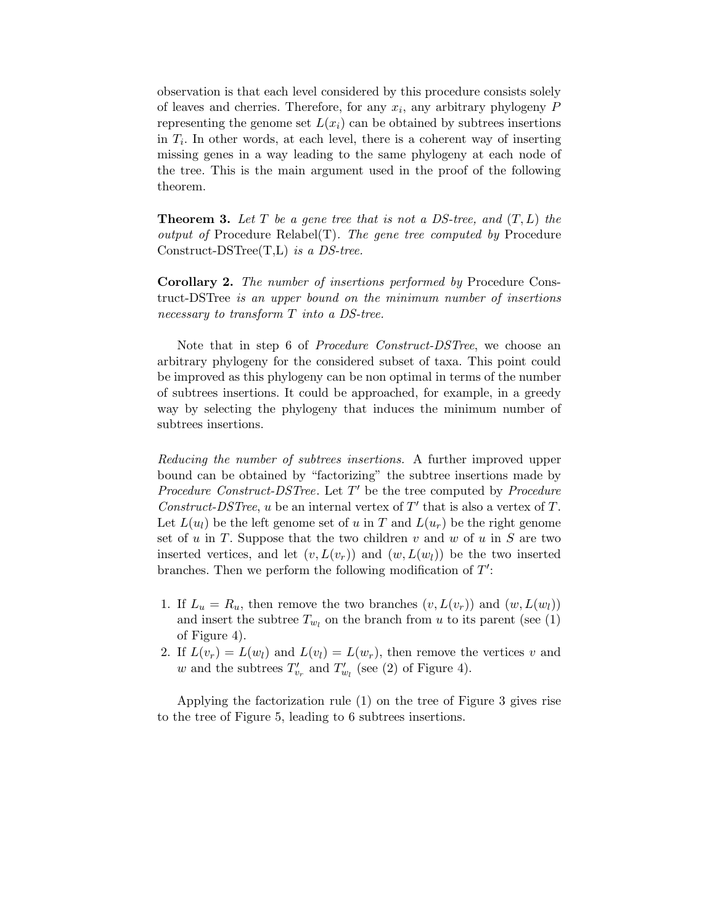observation is that each level considered by this procedure consists solely of leaves and cherries. Therefore, for any  $x_i$ , any arbitrary phylogeny  $P$ representing the genome set  $L(x_i)$  can be obtained by subtrees insertions in  $T_i$ . In other words, at each level, there is a coherent way of inserting missing genes in a way leading to the same phylogeny at each node of the tree. This is the main argument used in the proof of the following theorem.

**Theorem 3.** Let T be a gene tree that is not a DS-tree, and  $(T, L)$  the output of Procedure Relabel(T). The gene tree computed by Procedure Construct-DSTree $(T,L)$  is a DS-tree.

Corollary 2. The number of insertions performed by Procedure Construct-DSTree is an upper bound on the minimum number of insertions necessary to transform T into a DS-tree.

Note that in step 6 of Procedure Construct-DSTree, we choose an arbitrary phylogeny for the considered subset of taxa. This point could be improved as this phylogeny can be non optimal in terms of the number of subtrees insertions. It could be approached, for example, in a greedy way by selecting the phylogeny that induces the minimum number of subtrees insertions.

Reducing the number of subtrees insertions. A further improved upper bound can be obtained by "factorizing" the subtree insertions made by Procedure Construct-DSTree. Let  $T'$  be the tree computed by Procedure Construct-DSTree, u be an internal vertex of  $T'$  that is also a vertex of T. Let  $L(u_l)$  be the left genome set of u in T and  $L(u_r)$  be the right genome set of  $u$  in  $T$ . Suppose that the two children  $v$  and  $w$  of  $u$  in  $S$  are two inserted vertices, and let  $(v, L(v_r))$  and  $(w, L(w_l))$  be the two inserted branches. Then we perform the following modification of  $T'$ :

- 1. If  $L_u = R_u$ , then remove the two branches  $(v, L(v_r))$  and  $(w, L(w_l))$ and insert the subtree  $T_{w_l}$  on the branch from u to its parent (see (1) of Figure 4).
- 2. If  $L(v_r) = L(w_l)$  and  $L(v_l) = L(w_r)$ , then remove the vertices v and w and the subtrees  $T'_v$  $v'_v$  and  $T'_u$  $w_l$  (see (2) of Figure 4).

Applying the factorization rule (1) on the tree of Figure 3 gives rise to the tree of Figure 5, leading to 6 subtrees insertions.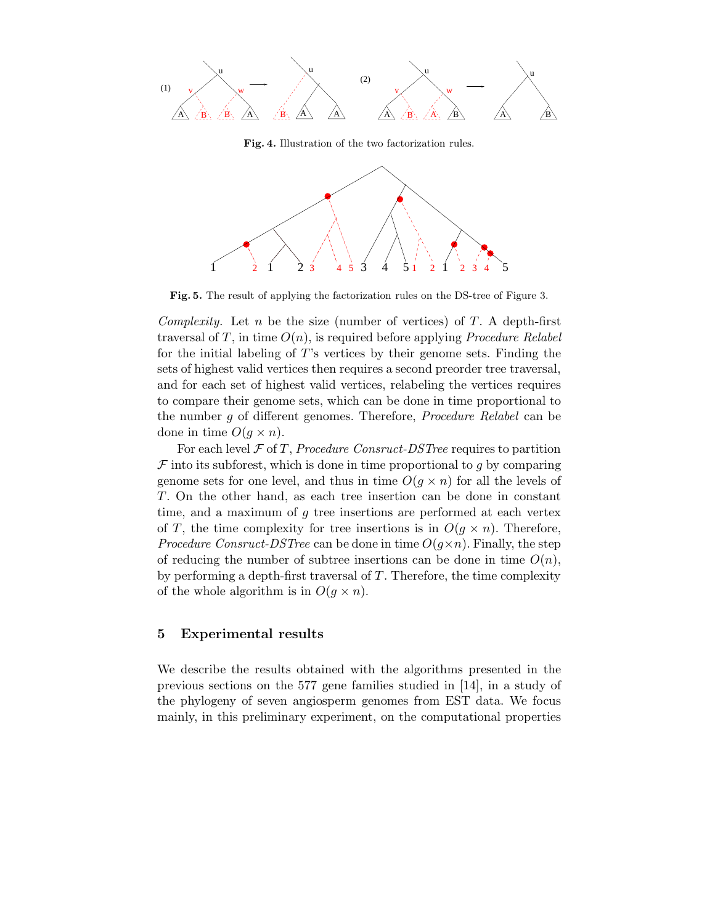

Fig. 4. Illustration of the two factorization rules.



Fig. 5. The result of applying the factorization rules on the DS-tree of Figure 3.

Complexity. Let n be the size (number of vertices) of  $T$ . A depth-first traversal of T, in time  $O(n)$ , is required before applying *Procedure Relabel* for the initial labeling of T's vertices by their genome sets. Finding the sets of highest valid vertices then requires a second preorder tree traversal, and for each set of highest valid vertices, relabeling the vertices requires to compare their genome sets, which can be done in time proportional to the number g of different genomes. Therefore, Procedure Relabel can be done in time  $O(q \times n)$ .

For each level  $\mathcal F$  of T, Procedure Consruct-DSTree requires to partition  $\mathcal F$  into its subforest, which is done in time proportional to q by comparing genome sets for one level, and thus in time  $O(g \times n)$  for all the levels of T. On the other hand, as each tree insertion can be done in constant time, and a maximum of  $q$  tree insertions are performed at each vertex of T, the time complexity for tree insertions is in  $O(q \times n)$ . Therefore, *Procedure Consruct-DSTree* can be done in time  $O(q \times n)$ . Finally, the step of reducing the number of subtree insertions can be done in time  $O(n)$ , by performing a depth-first traversal of  $T$ . Therefore, the time complexity of the whole algorithm is in  $O(g \times n)$ .

## 5 Experimental results

We describe the results obtained with the algorithms presented in the previous sections on the 577 gene families studied in [14], in a study of the phylogeny of seven angiosperm genomes from EST data. We focus mainly, in this preliminary experiment, on the computational properties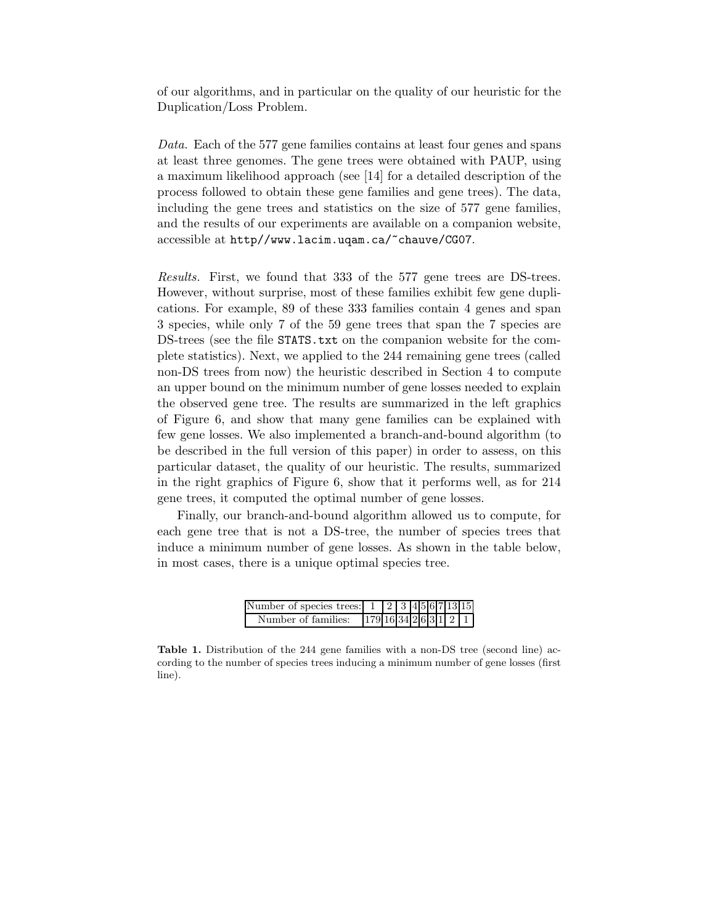of our algorithms, and in particular on the quality of our heuristic for the Duplication/Loss Problem.

Data. Each of the 577 gene families contains at least four genes and spans at least three genomes. The gene trees were obtained with PAUP, using a maximum likelihood approach (see [14] for a detailed description of the process followed to obtain these gene families and gene trees). The data, including the gene trees and statistics on the size of 577 gene families, and the results of our experiments are available on a companion website, accessible at http//www.lacim.uqam.ca/~chauve/CG07.

Results. First, we found that 333 of the 577 gene trees are DS-trees. However, without surprise, most of these families exhibit few gene duplications. For example, 89 of these 333 families contain 4 genes and span 3 species, while only 7 of the 59 gene trees that span the 7 species are DS-trees (see the file STATS.txt on the companion website for the complete statistics). Next, we applied to the 244 remaining gene trees (called non-DS trees from now) the heuristic described in Section 4 to compute an upper bound on the minimum number of gene losses needed to explain the observed gene tree. The results are summarized in the left graphics of Figure 6, and show that many gene families can be explained with few gene losses. We also implemented a branch-and-bound algorithm (to be described in the full version of this paper) in order to assess, on this particular dataset, the quality of our heuristic. The results, summarized in the right graphics of Figure 6, show that it performs well, as for 214 gene trees, it computed the optimal number of gene losses.

Finally, our branch-and-bound algorithm allowed us to compute, for each gene tree that is not a DS-tree, the number of species trees that induce a minimum number of gene losses. As shown in the table below, in most cases, there is a unique optimal species tree.

| Number of species trees: 1 |                         |  |  |  | 2 3 4 5 6 7 13 15 |
|----------------------------|-------------------------|--|--|--|-------------------|
| Number of families:        | $179$ 16 34 2 6 3 1 2 1 |  |  |  |                   |

Table 1. Distribution of the 244 gene families with a non-DS tree (second line) according to the number of species trees inducing a minimum number of gene losses (first line).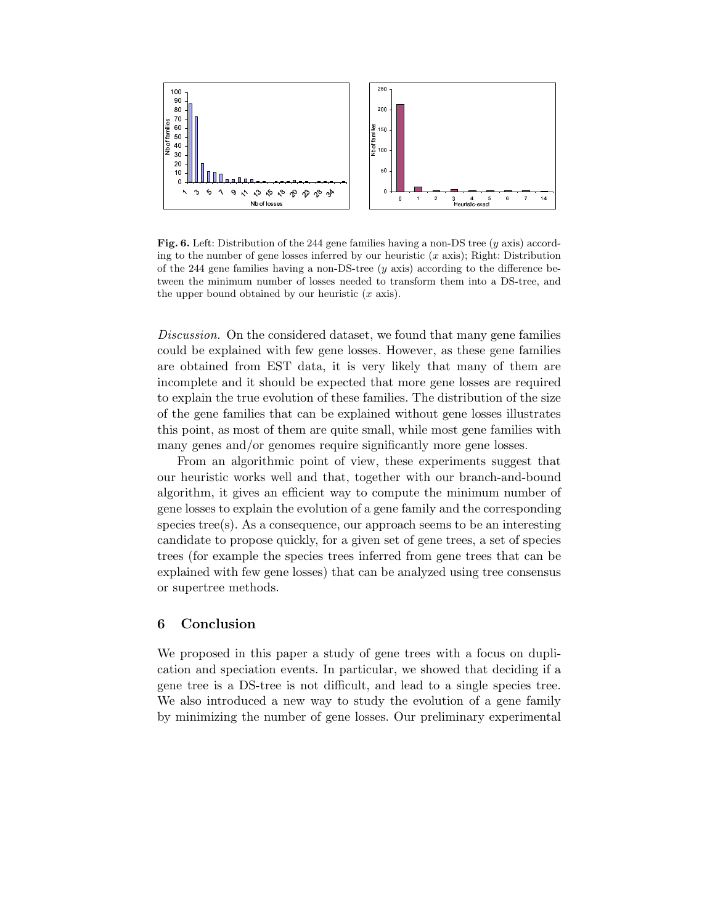

Fig. 6. Left: Distribution of the 244 gene families having a non-DS tree (y axis) according to the number of gene losses inferred by our heuristic  $(x \text{ axis})$ ; Right: Distribution of the 244 gene families having a non-DS-tree  $(y \text{ axis})$  according to the difference between the minimum number of losses needed to transform them into a DS-tree, and the upper bound obtained by our heuristic  $(x \text{ axis})$ .

Discussion. On the considered dataset, we found that many gene families could be explained with few gene losses. However, as these gene families are obtained from EST data, it is very likely that many of them are incomplete and it should be expected that more gene losses are required to explain the true evolution of these families. The distribution of the size of the gene families that can be explained without gene losses illustrates this point, as most of them are quite small, while most gene families with many genes and/or genomes require significantly more gene losses.

From an algorithmic point of view, these experiments suggest that our heuristic works well and that, together with our branch-and-bound algorithm, it gives an efficient way to compute the minimum number of gene losses to explain the evolution of a gene family and the corresponding species tree(s). As a consequence, our approach seems to be an interesting candidate to propose quickly, for a given set of gene trees, a set of species trees (for example the species trees inferred from gene trees that can be explained with few gene losses) that can be analyzed using tree consensus or supertree methods.

## 6 Conclusion

We proposed in this paper a study of gene trees with a focus on duplication and speciation events. In particular, we showed that deciding if a gene tree is a DS-tree is not difficult, and lead to a single species tree. We also introduced a new way to study the evolution of a gene family by minimizing the number of gene losses. Our preliminary experimental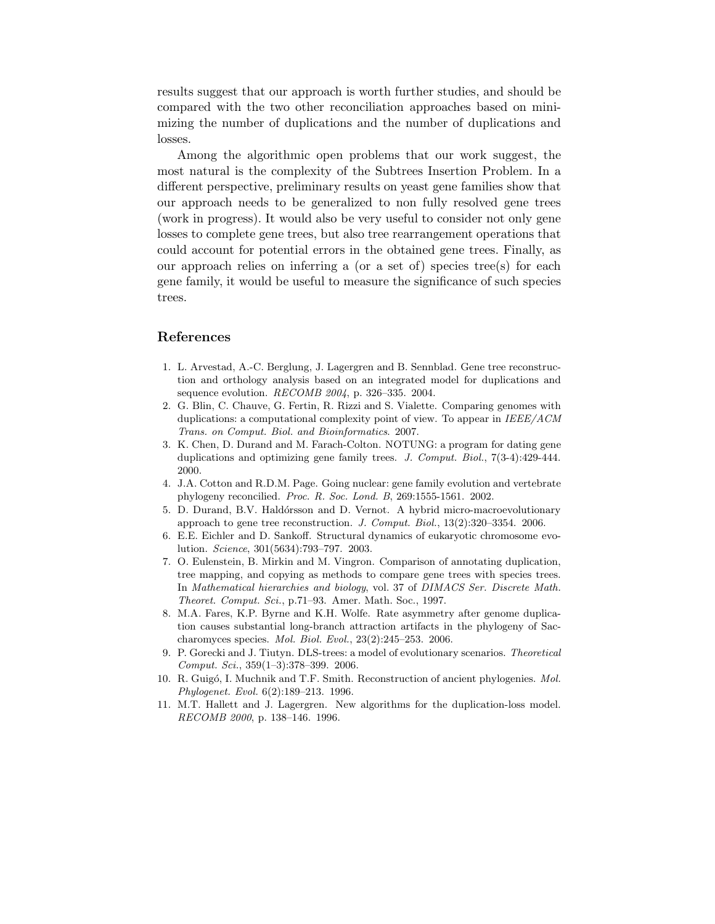results suggest that our approach is worth further studies, and should be compared with the two other reconciliation approaches based on minimizing the number of duplications and the number of duplications and losses.

Among the algorithmic open problems that our work suggest, the most natural is the complexity of the Subtrees Insertion Problem. In a different perspective, preliminary results on yeast gene families show that our approach needs to be generalized to non fully resolved gene trees (work in progress). It would also be very useful to consider not only gene losses to complete gene trees, but also tree rearrangement operations that could account for potential errors in the obtained gene trees. Finally, as our approach relies on inferring a (or a set of) species tree(s) for each gene family, it would be useful to measure the significance of such species trees.

#### References

- 1. L. Arvestad, A.-C. Berglung, J. Lagergren and B. Sennblad. Gene tree reconstruction and orthology analysis based on an integrated model for duplications and sequence evolution. RECOMB 2004, p. 326–335. 2004.
- 2. G. Blin, C. Chauve, G. Fertin, R. Rizzi and S. Vialette. Comparing genomes with duplications: a computational complexity point of view. To appear in IEEE/ACM Trans. on Comput. Biol. and Bioinformatics. 2007.
- 3. K. Chen, D. Durand and M. Farach-Colton. NOTUNG: a program for dating gene duplications and optimizing gene family trees. J. Comput. Biol., 7(3-4):429-444. 2000.
- 4. J.A. Cotton and R.D.M. Page. Going nuclear: gene family evolution and vertebrate phylogeny reconcilied. Proc. R. Soc. Lond. B, 269:1555-1561. 2002.
- 5. D. Durand, B.V. Hald´orsson and D. Vernot. A hybrid micro-macroevolutionary approach to gene tree reconstruction. J. Comput. Biol.,  $13(2):320-3354$ . 2006.
- 6. E.E. Eichler and D. Sankoff. Structural dynamics of eukaryotic chromosome evolution. Science, 301(5634):793–797. 2003.
- 7. O. Eulenstein, B. Mirkin and M. Vingron. Comparison of annotating duplication, tree mapping, and copying as methods to compare gene trees with species trees. In Mathematical hierarchies and biology, vol. 37 of DIMACS Ser. Discrete Math. Theoret. Comput. Sci., p.71–93. Amer. Math. Soc., 1997.
- 8. M.A. Fares, K.P. Byrne and K.H. Wolfe. Rate asymmetry after genome duplication causes substantial long-branch attraction artifacts in the phylogeny of Saccharomyces species. Mol. Biol. Evol., 23(2):245–253. 2006.
- 9. P. Gorecki and J. Tiutyn. DLS-trees: a model of evolutionary scenarios. Theoretical Comput. Sci., 359(1–3):378–399. 2006.
- 10. R. Guigó, I. Muchnik and T.F. Smith. Reconstruction of ancient phylogenies. Mol. Phylogenet. Evol. 6(2):189–213. 1996.
- 11. M.T. Hallett and J. Lagergren. New algorithms for the duplication-loss model. RECOMB 2000, p. 138–146. 1996.